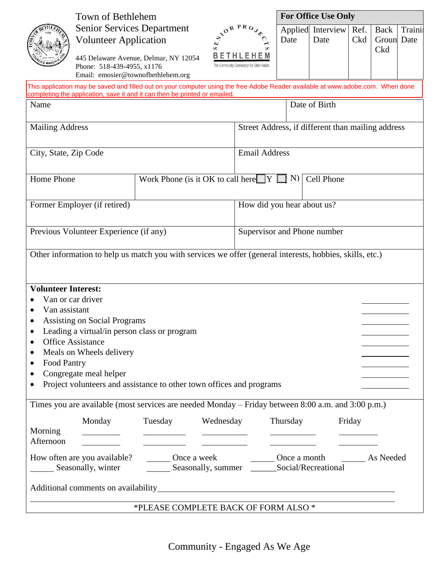|                                                                                                                                                                                                               | Town of Bethlehem                                                                                                                                                                                                                                                  |                                                                                    |                            |                                                                        | <b>For Office Use Only</b> |                           |             |                                  |        |  |  |
|---------------------------------------------------------------------------------------------------------------------------------------------------------------------------------------------------------------|--------------------------------------------------------------------------------------------------------------------------------------------------------------------------------------------------------------------------------------------------------------------|------------------------------------------------------------------------------------|----------------------------|------------------------------------------------------------------------|----------------------------|---------------------------|-------------|----------------------------------|--------|--|--|
|                                                                                                                                                                                                               | <b>Senior Services Department</b><br><b>Volunteer Application</b><br>Phone: 518-439-4955, x1176<br>Email: emosier@townofbethlehem.org                                                                                                                              | 445 Delaware Avenue, Delmar, NY 12054                                              |                            | NORPROYS<br>BETHLEHEM<br>The Community Connection for Older Adults     | Date                       | Applied Interview<br>Date | Ref.<br>Ckd | <b>Back</b><br>Groun Date<br>Ckd | Traini |  |  |
| This application may be saved and filled out on your computer using the free Adobe Reader available at www.adobe.com. When done<br>completing the application, save it and it can then be printed or emailed. |                                                                                                                                                                                                                                                                    |                                                                                    |                            |                                                                        |                            |                           |             |                                  |        |  |  |
| Name                                                                                                                                                                                                          |                                                                                                                                                                                                                                                                    | Date of Birth                                                                      |                            |                                                                        |                            |                           |             |                                  |        |  |  |
|                                                                                                                                                                                                               |                                                                                                                                                                                                                                                                    |                                                                                    |                            |                                                                        |                            |                           |             |                                  |        |  |  |
| <b>Mailing Address</b>                                                                                                                                                                                        |                                                                                                                                                                                                                                                                    |                                                                                    |                            | Street Address, if different than mailing address                      |                            |                           |             |                                  |        |  |  |
| City, State, Zip Code                                                                                                                                                                                         |                                                                                                                                                                                                                                                                    |                                                                                    |                            | <b>Email Address</b>                                                   |                            |                           |             |                                  |        |  |  |
| Home Phone                                                                                                                                                                                                    |                                                                                                                                                                                                                                                                    |                                                                                    |                            | Work Phone (is it OK to call here $[Y \square Y \square N]$ Cell Phone |                            |                           |             |                                  |        |  |  |
| Former Employer (if retired)                                                                                                                                                                                  |                                                                                                                                                                                                                                                                    |                                                                                    | How did you hear about us? |                                                                        |                            |                           |             |                                  |        |  |  |
| Previous Volunteer Experience (if any)                                                                                                                                                                        |                                                                                                                                                                                                                                                                    |                                                                                    |                            | Supervisor and Phone number                                            |                            |                           |             |                                  |        |  |  |
| <b>Volunteer Interest:</b><br>Van assistant<br>Food Pantry<br>٠<br>$\bullet$<br>$\bullet$                                                                                                                     | Van or car driver<br><b>Assisting on Social Programs</b><br>Leading a virtual/in person class or program<br><b>Office Assistance</b><br>Meals on Wheels delivery<br>Congregate meal helper<br>Project volunteers and assistance to other town offices and programs |                                                                                    |                            |                                                                        |                            |                           |             |                                  |        |  |  |
| Morning<br>Afternoon                                                                                                                                                                                          | Times you are available (most services are needed Monday – Friday between 8:00 a.m. and 3:00 p.m.)<br>Monday Tuesday                                                                                                                                               | $\overline{\phantom{a}}$ and $\overline{\phantom{a}}$ and $\overline{\phantom{a}}$ | Wednesday                  |                                                                        | Thursday                   |                           | Friday      |                                  |        |  |  |
| Seasonally, winter __________ Seasonally, summer ________ Social/Recreational                                                                                                                                 |                                                                                                                                                                                                                                                                    |                                                                                    |                            |                                                                        |                            |                           |             |                                  |        |  |  |
| *PLEASE COMPLETE BACK OF FORM ALSO *                                                                                                                                                                          |                                                                                                                                                                                                                                                                    |                                                                                    |                            |                                                                        |                            |                           |             |                                  |        |  |  |